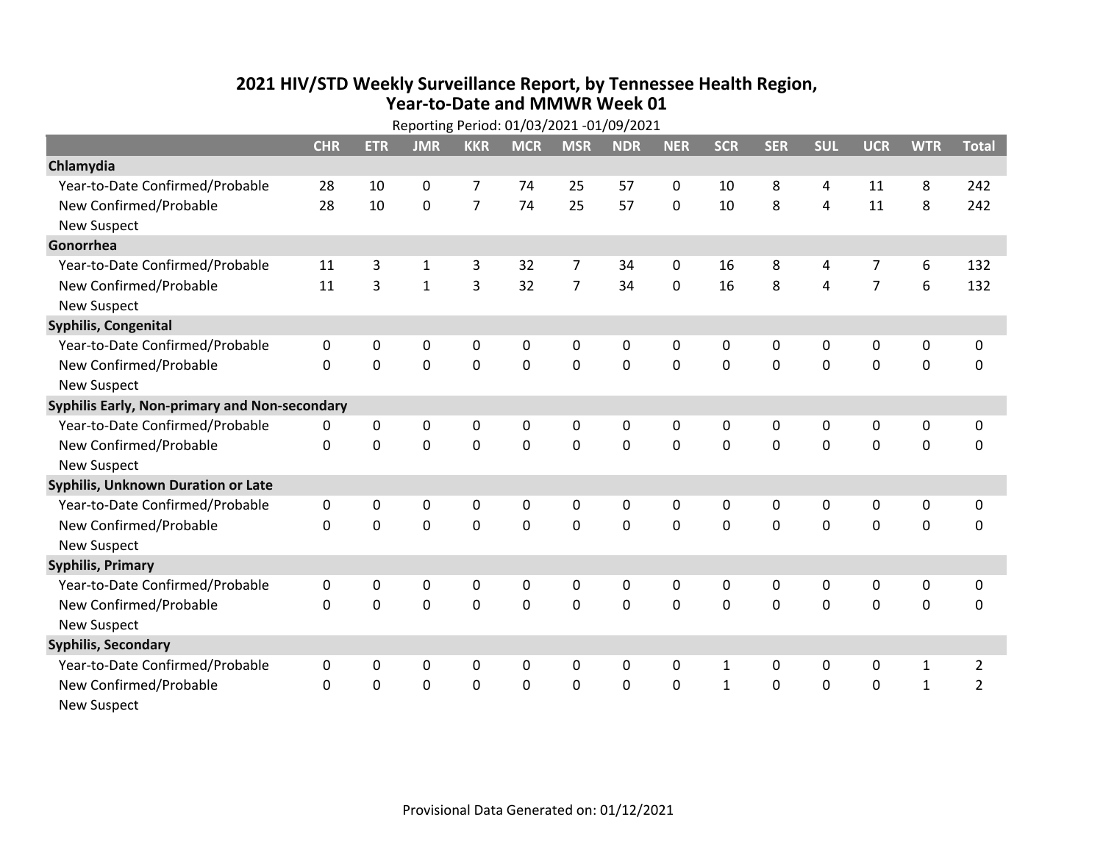## **2021 HIV /STD Weekly Surveillance Report, by Tennessee Health Region, Year‐to‐Date and MMWR Week 01** Reporting Period: 01/03/2021 ‐01/09/2021

| Reporting Period: 01/03/2021 -01/09/2021      |              |             |              |                |             |                |             |              |              |             |              |                |              |                |
|-----------------------------------------------|--------------|-------------|--------------|----------------|-------------|----------------|-------------|--------------|--------------|-------------|--------------|----------------|--------------|----------------|
|                                               | <b>CHR</b>   | <b>ETR</b>  | <b>JMR</b>   | <b>KKR</b>     | <b>MCR</b>  | <b>MSR</b>     | <b>NDR</b>  | <b>NER</b>   | <b>SCR</b>   | <b>SER</b>  | <b>SUL</b>   | <b>UCR</b>     | <b>WTR</b>   | <b>Total</b>   |
| Chlamydia                                     |              |             |              |                |             |                |             |              |              |             |              |                |              |                |
| Year-to-Date Confirmed/Probable               | 28           | 10          | 0            | $\overline{7}$ | 74          | 25             | 57          | $\mathbf 0$  | 10           | 8           | 4            | 11             | 8            | 242            |
| New Confirmed/Probable                        | 28           | 10          | $\mathbf 0$  | $\overline{7}$ | 74          | 25             | 57          | $\mathbf 0$  | 10           | 8           | 4            | 11             | 8            | 242            |
| <b>New Suspect</b>                            |              |             |              |                |             |                |             |              |              |             |              |                |              |                |
| Gonorrhea                                     |              |             |              |                |             |                |             |              |              |             |              |                |              |                |
| Year-to-Date Confirmed/Probable               | 11           | 3           | $\mathbf{1}$ | 3              | 32          | $\overline{7}$ | 34          | 0            | 16           | 8           | 4            | $\overline{7}$ | 6            | 132            |
| New Confirmed/Probable                        | 11           | 3           | $\mathbf{1}$ | 3              | 32          | $\overline{7}$ | 34          | $\mathbf 0$  | 16           | 8           | 4            | $\overline{7}$ | 6            | 132            |
| <b>New Suspect</b>                            |              |             |              |                |             |                |             |              |              |             |              |                |              |                |
| <b>Syphilis, Congenital</b>                   |              |             |              |                |             |                |             |              |              |             |              |                |              |                |
| Year-to-Date Confirmed/Probable               | 0            | 0           | 0            | $\mathbf 0$    | 0           | 0              | 0           | 0            | 0            | 0           | 0            | 0              | $\pmb{0}$    | $\pmb{0}$      |
| New Confirmed/Probable                        | $\Omega$     | $\mathbf 0$ | $\mathbf 0$  | $\mathbf{0}$   | $\mathbf 0$ | $\mathbf 0$    | 0           | $\Omega$     | $\Omega$     | $\mathbf 0$ | $\mathbf 0$  | $\mathbf 0$    | $\mathbf 0$  | $\mathbf 0$    |
| <b>New Suspect</b>                            |              |             |              |                |             |                |             |              |              |             |              |                |              |                |
| Syphilis Early, Non-primary and Non-secondary |              |             |              |                |             |                |             |              |              |             |              |                |              |                |
| Year-to-Date Confirmed/Probable               | 0            | 0           | 0            | 0              | 0           | 0              | 0           | 0            | 0            | 0           | 0            | 0              | 0            | 0              |
| New Confirmed/Probable                        | $\Omega$     | 0           | 0            | $\mathbf 0$    | $\mathbf 0$ | $\mathbf 0$    | 0           | $\Omega$     | $\Omega$     | $\mathbf 0$ | 0            | $\mathbf 0$    | $\mathbf 0$  | $\mathbf 0$    |
| <b>New Suspect</b>                            |              |             |              |                |             |                |             |              |              |             |              |                |              |                |
| <b>Syphilis, Unknown Duration or Late</b>     |              |             |              |                |             |                |             |              |              |             |              |                |              |                |
| Year-to-Date Confirmed/Probable               | $\mathbf 0$  | 0           | 0            | 0              | 0           | 0              | 0           | 0            | $\mathbf{0}$ | $\Omega$    | 0            | 0              | $\pmb{0}$    | $\mathbf 0$    |
| New Confirmed/Probable                        | $\Omega$     | $\Omega$    | $\Omega$     | $\Omega$       | $\Omega$    | $\Omega$       | $\mathbf 0$ | $\Omega$     | $\Omega$     | $\Omega$    | $\Omega$     | $\mathbf 0$    | $\mathbf 0$  | $\mathbf 0$    |
| <b>New Suspect</b>                            |              |             |              |                |             |                |             |              |              |             |              |                |              |                |
| <b>Syphilis, Primary</b>                      |              |             |              |                |             |                |             |              |              |             |              |                |              |                |
| Year-to-Date Confirmed/Probable               | 0            | 0           | 0            | 0              | 0           | 0              | 0           | $\mathbf{0}$ | 0            | $\Omega$    | 0            | 0              | $\mathbf 0$  | 0              |
| New Confirmed/Probable                        | $\Omega$     | 0           | 0            | $\mathbf 0$    | $\mathbf 0$ | $\mathbf 0$    | 0           | $\Omega$     | $\Omega$     | $\mathbf 0$ | 0            | $\mathbf 0$    | $\mathbf 0$  | $\mathbf 0$    |
| <b>New Suspect</b>                            |              |             |              |                |             |                |             |              |              |             |              |                |              |                |
| <b>Syphilis, Secondary</b>                    |              |             |              |                |             |                |             |              |              |             |              |                |              |                |
| Year-to-Date Confirmed/Probable               | $\mathbf{0}$ | 0           | 0            | 0              | 0           | 0              | 0           | $\mathbf{0}$ | $\mathbf{1}$ | $\Omega$    | $\mathbf{0}$ | 0              | $\mathbf{1}$ | $\overline{2}$ |
| New Confirmed/Probable                        | $\Omega$     | 0           | 0            | $\mathbf 0$    | $\mathbf 0$ | $\mathbf 0$    | $\Omega$    | $\Omega$     | $\mathbf{1}$ | $\mathbf 0$ | 0            | $\mathbf 0$    | $\mathbf{1}$ | $\overline{2}$ |
| <b>New Suspect</b>                            |              |             |              |                |             |                |             |              |              |             |              |                |              |                |